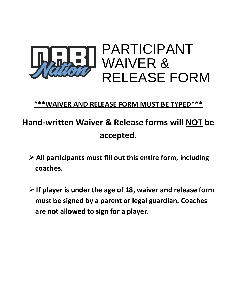

# **\*\*\*WAIVER AND RELEASE FORM MUST BE TYPED\*\*\***

# **Hand-written Waiver & Release forms will NOT be accepted.**

- ➢ **All participants must fill out this entire form, including coaches.**
- ➢ **If player is under the age of 18, waiver and release form must be signed by a parent or legal guardian. Coaches are not allowed to sign for a player.**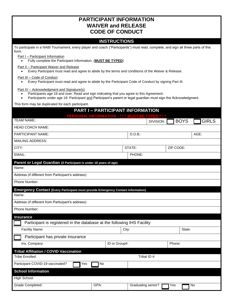| <b>PARTICIPANT INFORMATION</b><br><b>WAIVER and RELEASE</b><br><b>CODE OF CONDUCT</b>                                                                                                                                                                                                                                                                                                                                                                                                                                                                  |                                                     |                    |                          |              |  |
|--------------------------------------------------------------------------------------------------------------------------------------------------------------------------------------------------------------------------------------------------------------------------------------------------------------------------------------------------------------------------------------------------------------------------------------------------------------------------------------------------------------------------------------------------------|-----------------------------------------------------|--------------------|--------------------------|--------------|--|
|                                                                                                                                                                                                                                                                                                                                                                                                                                                                                                                                                        | <b>INSTRUCTIONS</b>                                 |                    |                          |              |  |
| To participate in a NABI Tournament, every player and coach ("Participants") must read, complete, and sign all three parts of this<br>form.<br>Part I - Participant Information<br>Fully complete the Participant Information. (MUST BE TYPED)<br>$\bullet$<br>Part II - Participant Waiver and Release<br>Every Participant must read and agree to abide by the terms and conditions of the Waiver & Release.<br>Part III - Code of Conduct<br>Every Participant must read and agree to abide by the Participant Code of Conduct by signing Part III. |                                                     |                    |                          |              |  |
| Part IV - Acknowledgment and Signature(s)<br>Participants age 18 and over: Read and sign indicating that you agree to this Agreement.<br>Participants under age 18: Participant and Participant's parent or legal guardian must sign the Acknowledgment.<br>$\bullet$<br>This form may be duplicated for each participant.                                                                                                                                                                                                                             |                                                     |                    |                          |              |  |
|                                                                                                                                                                                                                                                                                                                                                                                                                                                                                                                                                        | <b>PART I-PARTICIPANT INFORMATION</b>               |                    |                          |              |  |
| <b>TEAM NAME:</b>                                                                                                                                                                                                                                                                                                                                                                                                                                                                                                                                      | <b>PERSONAL INFORMATION - *** MUST BE TYPED ***</b> |                    | <b>BOYS</b><br>DIVISION: | <b>GIRLS</b> |  |
| <b>HEAD COACH NAME:</b>                                                                                                                                                                                                                                                                                                                                                                                                                                                                                                                                |                                                     |                    |                          |              |  |
| PARTICIPANT NAME:                                                                                                                                                                                                                                                                                                                                                                                                                                                                                                                                      |                                                     | D.O.B.:            |                          | AGE:         |  |
| <b>MAILING ADDRESS:</b>                                                                                                                                                                                                                                                                                                                                                                                                                                                                                                                                |                                                     |                    |                          |              |  |
| CITY:                                                                                                                                                                                                                                                                                                                                                                                                                                                                                                                                                  |                                                     | STATE:             | ZIP CODE:                |              |  |
| EMAIL:                                                                                                                                                                                                                                                                                                                                                                                                                                                                                                                                                 |                                                     | PHONE:             |                          |              |  |
| Parent or Legal Guardian (if Participant is under 18 years of age)                                                                                                                                                                                                                                                                                                                                                                                                                                                                                     |                                                     |                    |                          |              |  |
| Name:                                                                                                                                                                                                                                                                                                                                                                                                                                                                                                                                                  |                                                     |                    |                          |              |  |
| Address (if different from Participant's address):                                                                                                                                                                                                                                                                                                                                                                                                                                                                                                     |                                                     |                    |                          |              |  |
| Phone Number:                                                                                                                                                                                                                                                                                                                                                                                                                                                                                                                                          |                                                     |                    |                          |              |  |
| <b>Emergency Contact (Every Participant must provide Emergency Contact information)</b>                                                                                                                                                                                                                                                                                                                                                                                                                                                                |                                                     |                    |                          |              |  |
| Name:                                                                                                                                                                                                                                                                                                                                                                                                                                                                                                                                                  |                                                     |                    |                          |              |  |
| Address (if different from Participant's address):                                                                                                                                                                                                                                                                                                                                                                                                                                                                                                     |                                                     |                    |                          |              |  |
| Phone Number:                                                                                                                                                                                                                                                                                                                                                                                                                                                                                                                                          |                                                     |                    |                          |              |  |
| <b>Insurance</b>                                                                                                                                                                                                                                                                                                                                                                                                                                                                                                                                       |                                                     |                    |                          |              |  |
| Participant is registered in the database at the following IHS Facility                                                                                                                                                                                                                                                                                                                                                                                                                                                                                |                                                     |                    |                          |              |  |
| Facility Name:                                                                                                                                                                                                                                                                                                                                                                                                                                                                                                                                         |                                                     | City:              | State:                   |              |  |
| Participant has private insurance                                                                                                                                                                                                                                                                                                                                                                                                                                                                                                                      |                                                     |                    |                          |              |  |
| Ins. Company:                                                                                                                                                                                                                                                                                                                                                                                                                                                                                                                                          | ID or Group#:                                       |                    | Phone:                   |              |  |
| <b>Tribal Affiliation / COVID Vaccination</b>                                                                                                                                                                                                                                                                                                                                                                                                                                                                                                          |                                                     |                    |                          |              |  |
| <b>Tribe Enrolled:</b>                                                                                                                                                                                                                                                                                                                                                                                                                                                                                                                                 |                                                     | Tribal ID #:       |                          |              |  |
| Participant COVID-19 vaccinated?<br>Yes                                                                                                                                                                                                                                                                                                                                                                                                                                                                                                                | No                                                  |                    |                          |              |  |
| <b>School Information</b>                                                                                                                                                                                                                                                                                                                                                                                                                                                                                                                              |                                                     |                    |                          |              |  |
| High School:                                                                                                                                                                                                                                                                                                                                                                                                                                                                                                                                           |                                                     |                    |                          |              |  |
| Grade Completed:                                                                                                                                                                                                                                                                                                                                                                                                                                                                                                                                       | GPA:                                                | Graduating senior? | Yes                      | No           |  |